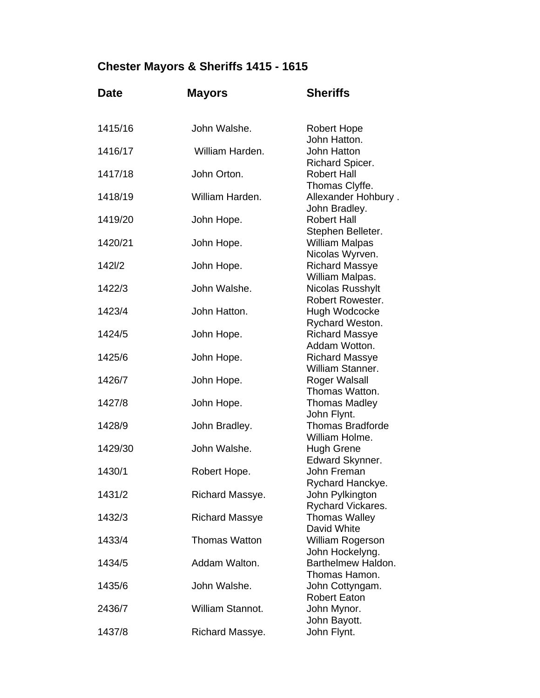## **Chester Mayors & Sheriffs 1415 - 1615**

| <b>Date</b> | <b>Mayors</b>         | <b>Sheriffs</b>                                         |
|-------------|-----------------------|---------------------------------------------------------|
| 1415/16     | John Walshe.          | <b>Robert Hope</b>                                      |
| 1416/17     | William Harden.       | John Hatton.<br>John Hatton                             |
| 1417/18     | John Orton.           | Richard Spicer.<br><b>Robert Hall</b><br>Thomas Clyffe. |
| 1418/19     | William Harden.       | Allexander Hohbury.<br>John Bradley.                    |
| 1419/20     | John Hope.            | <b>Robert Hall</b><br>Stephen Belleter.                 |
| 1420/21     | John Hope.            | <b>William Malpas</b><br>Nicolas Wyrven.                |
| 1421/2      | John Hope.            | <b>Richard Massye</b><br>William Malpas.                |
| 1422/3      | John Walshe.          | Nicolas Russhylt<br><b>Robert Rowester.</b>             |
| 1423/4      | John Hatton.          | Hugh Wodcocke<br>Rychard Weston.                        |
| 1424/5      | John Hope.            | <b>Richard Massye</b><br>Addam Wotton.                  |
| 1425/6      | John Hope.            | <b>Richard Massye</b><br>William Stanner.               |
| 1426/7      | John Hope.            | Roger Walsall<br>Thomas Watton.                         |
| 1427/8      | John Hope.            | <b>Thomas Madley</b><br>John Flynt.                     |
| 1428/9      | John Bradley.         | <b>Thomas Bradforde</b><br>William Holme.               |
| 1429/30     | John Walshe.          | <b>Hugh Grene</b><br>Edward Skynner.                    |
| 1430/1      | Robert Hope.          | John Freman<br>Rychard Hanckye.                         |
| 1431/2      | Richard Massye.       | John Pylkington<br>Rychard Vickares.                    |
| 1432/3      | <b>Richard Massye</b> | <b>Thomas Walley</b><br>David White                     |
| 1433/4      | <b>Thomas Watton</b>  | William Rogerson<br>John Hockelyng.                     |
| 1434/5      | Addam Walton.         | Barthelmew Haldon.<br>Thomas Hamon.                     |
| 1435/6      | John Walshe.          | John Cottyngam.<br><b>Robert Eaton</b>                  |
| 2436/7      | William Stannot.      | John Mynor.<br>John Bayott.                             |
| 1437/8      | Richard Massye.       | John Flynt.                                             |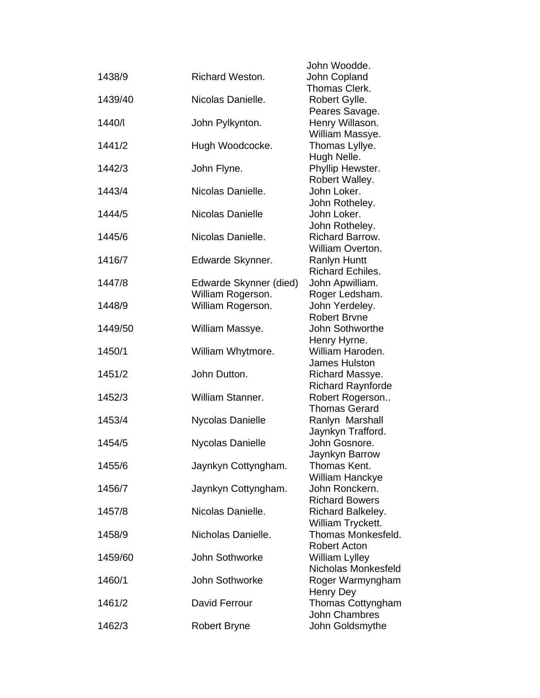|         |                        | John Woodde.                              |
|---------|------------------------|-------------------------------------------|
| 1438/9  | <b>Richard Weston.</b> | John Copland                              |
|         |                        | Thomas Clerk.                             |
| 1439/40 | Nicolas Danielle.      | Robert Gylle.                             |
|         |                        | Peares Savage.                            |
| 1440/   | John Pylkynton.        | Henry Willason.                           |
|         |                        | William Massye.                           |
| 1441/2  | Hugh Woodcocke.        | Thomas Lyllye.                            |
|         |                        | Hugh Nelle.                               |
| 1442/3  | John Flyne.            | Phyllip Hewster.                          |
|         |                        | Robert Walley.                            |
| 1443/4  | Nicolas Danielle.      | John Loker.                               |
|         |                        | John Rotheley.                            |
| 1444/5  | Nicolas Danielle       | John Loker.                               |
|         |                        | John Rotheley.                            |
| 1445/6  | Nicolas Danielle.      | Richard Barrow.                           |
|         |                        | William Overton.                          |
| 1416/7  | Edwarde Skynner.       | <b>Ranlyn Huntt</b>                       |
|         |                        | <b>Richard Echiles.</b>                   |
| 1447/8  | Edwarde Skynner (died) | John Apwilliam.                           |
|         | William Rogerson.      | Roger Ledsham.                            |
| 1448/9  | William Rogerson.      | John Yerdeley.                            |
|         |                        | <b>Robert Brvne</b>                       |
| 1449/50 | William Massye.        | John Sothworthe                           |
| 1450/1  | William Whytmore.      | Henry Hyrne.<br>William Haroden.          |
|         |                        | James Hulston                             |
| 1451/2  | John Dutton.           | Richard Massye.                           |
|         |                        | <b>Richard Raynforde</b>                  |
| 1452/3  | William Stanner.       | Robert Rogerson                           |
|         |                        | <b>Thomas Gerard</b>                      |
| 1453/4  | Nycolas Danielle       | Ranlyn Marshall                           |
|         |                        | Jaynkyn Trafford.                         |
| 1454/5  | Nycolas Danielle       | John Gosnore.                             |
|         |                        | Jaynkyn Barrow                            |
| 1455/6  | Jaynkyn Cottyngham.    | Thomas Kent.                              |
|         |                        | William Hanckye                           |
| 1456/7  | Jaynkyn Cottyngham.    | John Ronckern.                            |
|         |                        | <b>Richard Bowers</b>                     |
| 1457/8  | Nicolas Danielle.      | Richard Balkeley.                         |
|         |                        | William Tryckett.                         |
| 1458/9  | Nicholas Danielle.     | Thomas Monkesfeld.                        |
|         |                        | <b>Robert Acton</b>                       |
| 1459/60 | John Sothworke         | <b>William Lylley</b>                     |
|         |                        | Nicholas Monkesfeld                       |
| 1460/1  | John Sothworke         | Roger Warmyngham                          |
|         |                        | Henry Dey                                 |
| 1461/2  | David Ferrour          | Thomas Cottyngham<br><b>John Chambres</b> |
| 1462/3  | <b>Robert Bryne</b>    | John Goldsmythe                           |
|         |                        |                                           |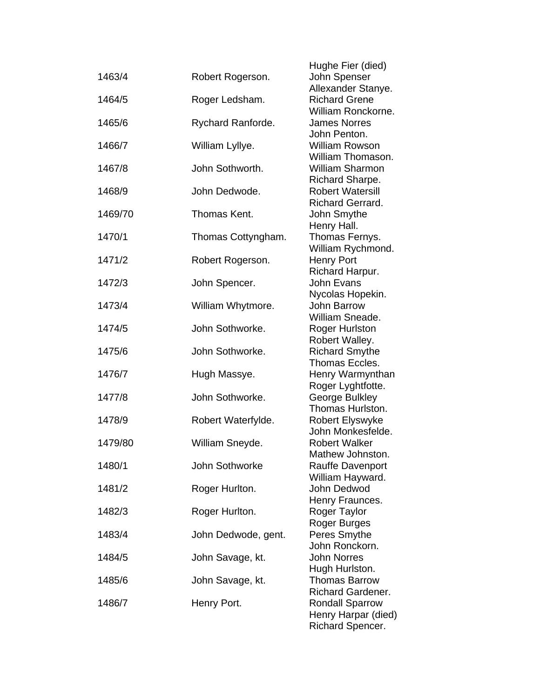| 1463/4  | Robert Rogerson.    | Hughe Fier (died)<br>John Spenser                                     |
|---------|---------------------|-----------------------------------------------------------------------|
| 1464/5  | Roger Ledsham.      | Allexander Stanye.<br><b>Richard Grene</b><br>William Ronckorne.      |
| 1465/6  | Rychard Ranforde.   | <b>James Norres</b><br>John Penton.                                   |
| 1466/7  | William Lyllye.     | <b>William Rowson</b><br>William Thomason.                            |
| 1467/8  | John Sothworth.     | <b>William Sharmon</b>                                                |
| 1468/9  | John Dedwode.       | Richard Sharpe.<br><b>Robert Watersill</b><br><b>Richard Gerrard.</b> |
| 1469/70 | Thomas Kent.        | John Smythe<br>Henry Hall.                                            |
| 1470/1  | Thomas Cottyngham.  | Thomas Fernys.<br>William Rychmond.                                   |
| 1471/2  | Robert Rogerson.    | <b>Henry Port</b><br>Richard Harpur.                                  |
| 1472/3  | John Spencer.       | <b>John Evans</b>                                                     |
| 1473/4  | William Whytmore.   | Nycolas Hopekin.<br>John Barrow<br>William Sneade.                    |
| 1474/5  | John Sothworke.     | <b>Roger Hurlston</b>                                                 |
| 1475/6  | John Sothworke.     | Robert Walley.<br><b>Richard Smythe</b><br>Thomas Eccles.             |
| 1476/7  | Hugh Massye.        | Henry Warmynthan<br>Roger Lyghtfotte.                                 |
| 1477/8  | John Sothworke.     | George Bulkley<br>Thomas Hurlston.                                    |
| 1478/9  | Robert Waterfylde.  | Robert Elyswyke<br>John Monkesfelde.                                  |
| 1479/80 | William Sneyde.     | <b>Robert Walker</b><br>Mathew Johnston.                              |
| 1480/1  | John Sothworke      | <b>Rauffe Davenport</b><br>William Hayward.                           |
| 1481/2  | Roger Hurlton.      | John Dedwod<br>Henry Fraunces.                                        |
| 1482/3  | Roger Hurlton.      | Roger Taylor<br>Roger Burges                                          |
| 1483/4  | John Dedwode, gent. | Peres Smythe<br>John Ronckorn.                                        |
| 1484/5  | John Savage, kt.    | <b>John Norres</b><br>Hugh Hurlston.                                  |
| 1485/6  | John Savage, kt.    | <b>Thomas Barrow</b><br><b>Richard Gardener.</b>                      |
| 1486/7  | Henry Port.         | <b>Rondall Sparrow</b><br>Henry Harpar (died)<br>Richard Spencer.     |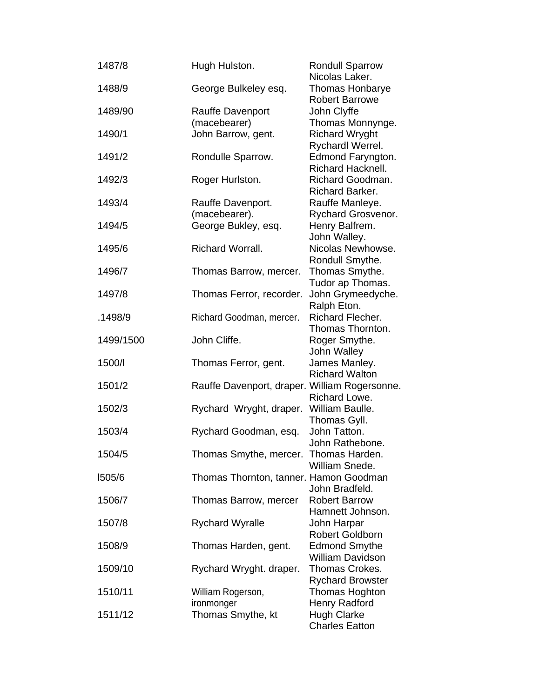| 1487/8    | Hugh Hulston.                                 | <b>Rondull Sparrow</b><br>Nicolas Laker.       |
|-----------|-----------------------------------------------|------------------------------------------------|
| 1488/9    | George Bulkeley esq.                          | Thomas Honbarye<br><b>Robert Barrowe</b>       |
| 1489/90   | <b>Rauffe Davenport</b>                       | John Clyffe                                    |
|           | (macebearer)                                  | Thomas Monnynge.                               |
| 1490/1    | John Barrow, gent.                            | <b>Richard Wryght</b><br>Rychardl Werrel.      |
| 1491/2    | Rondulle Sparrow.                             | Edmond Faryngton.<br>Richard Hacknell.         |
| 1492/3    | Roger Hurlston.                               | Richard Goodman.<br>Richard Barker.            |
| 1493/4    | Rauffe Davenport.                             | Rauffe Manleye.                                |
| 1494/5    | (macebearer).<br>George Bukley, esq.          | Rychard Grosvenor.<br>Henry Balfrem.           |
|           |                                               | John Walley.                                   |
| 1495/6    | Richard Worrall.                              | Nicolas Newhowse.                              |
|           |                                               | Rondull Smythe.                                |
| 1496/7    | Thomas Barrow, mercer.                        | Thomas Smythe.                                 |
|           |                                               | Tudor ap Thomas.                               |
| 1497/8    | Thomas Ferror, recorder.                      | John Grymeedyche.                              |
|           |                                               | Ralph Eton.                                    |
| .1498/9   | Richard Goodman, mercer.                      | Richard Flecher.                               |
|           |                                               | Thomas Thornton.                               |
| 1499/1500 | John Cliffe.                                  | Roger Smythe.                                  |
|           |                                               | John Walley                                    |
| 1500/l    | Thomas Ferror, gent.                          | James Manley.                                  |
| 1501/2    | Rauffe Davenport, draper. William Rogersonne. | <b>Richard Walton</b>                          |
|           |                                               | Richard Lowe.                                  |
| 1502/3    | Rychard Wryght, draper.                       | William Baulle.                                |
|           |                                               | Thomas Gyll.                                   |
| 1503/4    | Rychard Goodman, esq.                         | John Tatton.                                   |
|           |                                               | John Rathebone.                                |
| 1504/5    | Thomas Smythe, mercer.                        | Thomas Harden.                                 |
|           |                                               | William Snede.                                 |
| 1505/6    | Thomas Thornton, tanner. Hamon Goodman        |                                                |
|           |                                               | John Bradfeld.                                 |
| 1506/7    | Thomas Barrow, mercer                         | <b>Robert Barrow</b>                           |
|           |                                               | Hamnett Johnson.                               |
| 1507/8    | <b>Rychard Wyralle</b>                        | John Harpar                                    |
| 1508/9    |                                               | <b>Robert Goldborn</b><br><b>Edmond Smythe</b> |
|           | Thomas Harden, gent.                          | <b>William Davidson</b>                        |
| 1509/10   | Rychard Wryght. draper.                       | Thomas Crokes.                                 |
|           |                                               | <b>Rychard Browster</b>                        |
| 1510/11   | William Rogerson,                             | Thomas Hoghton                                 |
|           | ironmonger                                    | Henry Radford                                  |
| 1511/12   | Thomas Smythe, kt                             | <b>Hugh Clarke</b>                             |
|           |                                               | <b>Charles Eatton</b>                          |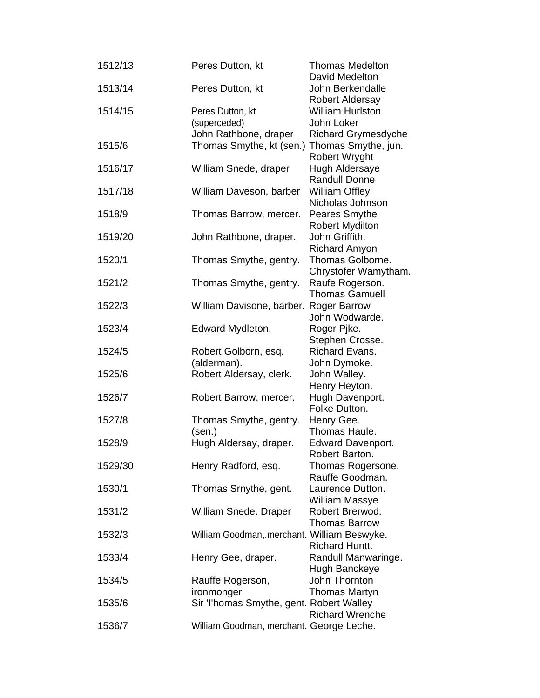| 1512/13 | Peres Dutton, kt                            | <b>Thomas Medelton</b><br>David Medelton                          |
|---------|---------------------------------------------|-------------------------------------------------------------------|
| 1513/14 | Peres Dutton, kt                            | John Berkendalle<br><b>Robert Aldersay</b>                        |
| 1514/15 | Peres Dutton, kt<br>(superceded)            | <b>William Hurlston</b><br>John Loker                             |
| 1515/6  | John Rathbone, draper                       | <b>Richard Grymesdyche</b>                                        |
|         | Thomas Smythe, kt (sen.)                    | Thomas Smythe, jun.<br>Robert Wryght                              |
| 1516/17 | William Snede, draper                       | Hugh Aldersaye                                                    |
| 1517/18 | William Daveson, barber                     | <b>Randull Donne</b><br><b>William Offley</b><br>Nicholas Johnson |
| 1518/9  | Thomas Barrow, mercer.                      | Peares Smythe<br><b>Robert Mydilton</b>                           |
| 1519/20 | John Rathbone, draper.                      | John Griffith.<br><b>Richard Amyon</b>                            |
| 1520/1  | Thomas Smythe, gentry.                      | Thomas Golborne.                                                  |
| 1521/2  | Thomas Smythe, gentry.                      | Chrystofer Wamytham.<br>Raufe Rogerson.                           |
| 1522/3  | William Davisone, barber. Roger Barrow      | <b>Thomas Gamuell</b>                                             |
|         |                                             | John Wodwarde.                                                    |
| 1523/4  | Edward Mydleton.                            | Roger Pjke.<br>Stephen Crosse.                                    |
| 1524/5  | Robert Golborn, esq.                        | <b>Richard Evans.</b>                                             |
|         | (alderman).                                 | John Dymoke.                                                      |
| 1525/6  | Robert Aldersay, clerk.                     | John Walley.                                                      |
| 1526/7  | Robert Barrow, mercer.                      | Henry Heyton.<br>Hugh Davenport.                                  |
|         |                                             | Folke Dutton.                                                     |
| 1527/8  | Thomas Smythe, gentry.                      | Henry Gee.                                                        |
| 1528/9  | (sen.)<br>Hugh Aldersay, draper.            | Thomas Haule.<br><b>Edward Davenport.</b>                         |
|         |                                             | Robert Barton.                                                    |
| 1529/30 | Henry Radford, esq.                         | Thomas Rogersone.                                                 |
| 1530/1  |                                             | Rauffe Goodman.<br>Laurence Dutton.                               |
|         | Thomas Srnythe, gent.                       | <b>William Massye</b>                                             |
| 1531/2  | William Snede. Draper                       | Robert Brerwod.                                                   |
| 1532/3  | William Goodman, merchant. William Beswyke. | <b>Thomas Barrow</b>                                              |
| 1533/4  | Henry Gee, draper.                          | <b>Richard Huntt.</b><br>Randull Manwaringe.                      |
| 1534/5  | Rauffe Rogerson,                            | Hugh Banckeye<br>John Thornton                                    |
|         | ironmonger                                  | <b>Thomas Martyn</b>                                              |
| 1535/6  | Sir Thomas Smythe, gent. Robert Walley      | <b>Richard Wrenche</b>                                            |
| 1536/7  | William Goodman, merchant. George Leche.    |                                                                   |
|         |                                             |                                                                   |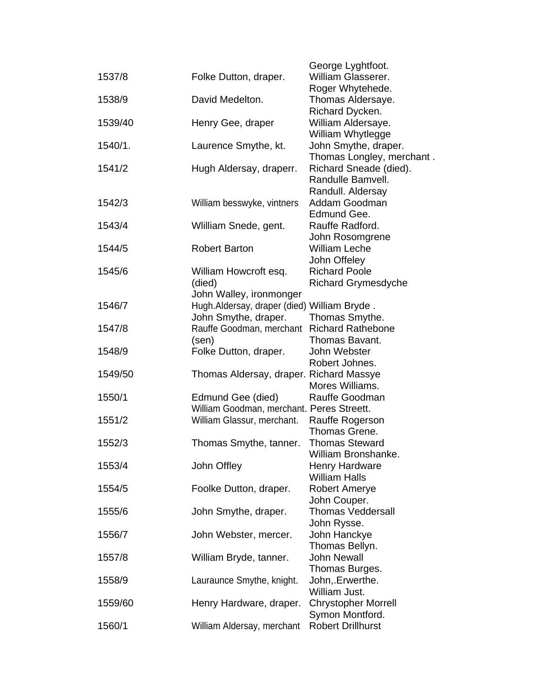| 1537/8  |                                             | George Lyghtfoot.<br>William Glasserer.     |
|---------|---------------------------------------------|---------------------------------------------|
|         | Folke Dutton, draper.                       | Roger Whytehede.                            |
| 1538/9  | David Medelton.                             |                                             |
|         |                                             | Thomas Aldersaye.                           |
|         |                                             | Richard Dycken.                             |
| 1539/40 | Henry Gee, draper                           | William Aldersaye.                          |
|         |                                             | William Whytlegge                           |
| 1540/1. | Laurence Smythe, kt.                        | John Smythe, draper.                        |
|         |                                             | Thomas Longley, merchant.                   |
| 1541/2  | Hugh Aldersay, draperr.                     | Richard Sneade (died).                      |
|         |                                             | Randulle Bamvell.                           |
|         |                                             | Randull. Aldersay                           |
| 1542/3  | William besswyke, vintners                  | Addam Goodman                               |
|         |                                             | Edmund Gee.                                 |
| 1543/4  | Wiilliam Snede, gent.                       | Rauffe Radford.                             |
|         |                                             | John Rosomgrene                             |
| 1544/5  | <b>Robert Barton</b>                        | <b>William Leche</b>                        |
|         |                                             | John Offeley                                |
| 1545/6  | William Howcroft esq.                       | <b>Richard Poole</b>                        |
|         | (died)                                      | <b>Richard Grymesdyche</b>                  |
|         | John Walley, ironmonger                     |                                             |
| 1546/7  | Hugh.Aldersay, draper (died) William Bryde. |                                             |
|         | John Smythe, draper.                        | Thomas Smythe.                              |
| 1547/8  | Rauffe Goodman, merchant Richard Rathebone  |                                             |
|         | (sen)                                       | Thomas Bavant.                              |
| 1548/9  | Folke Dutton, draper.                       | John Webster                                |
|         |                                             | Robert Johnes.                              |
| 1549/50 | Thomas Aldersay, draper. Richard Massye     |                                             |
|         |                                             | Mores Williams.                             |
| 1550/1  | Edmund Gee (died)                           | Rauffe Goodman                              |
|         | William Goodman, merchant. Peres Streett.   |                                             |
| 1551/2  | William Glassur, merchant.                  | Rauffe Rogerson                             |
|         |                                             | Thomas Grene.                               |
| 1552/3  | Thomas Smythe, tanner.                      | <b>Thomas Steward</b>                       |
|         |                                             | William Bronshanke.                         |
| 1553/4  | John Offley                                 | <b>Henry Hardware</b>                       |
|         |                                             | <b>William Halls</b>                        |
| 1554/5  | Foolke Dutton, draper.                      | <b>Robert Amerye</b>                        |
|         |                                             | John Couper.                                |
| 1555/6  | John Smythe, draper.                        | <b>Thomas Veddersall</b>                    |
|         |                                             | John Rysse.                                 |
| 1556/7  | John Webster, mercer.                       | John Hanckye                                |
|         |                                             | Thomas Bellyn.                              |
| 1557/8  | William Bryde, tanner.                      | <b>John Newall</b>                          |
|         |                                             | Thomas Burges.                              |
| 1558/9  | Lauraunce Smythe, knight.                   | John, Erwerthe.                             |
|         |                                             | William Just.                               |
|         |                                             |                                             |
| 1559/60 | Henry Hardware, draper.                     | <b>Chrystopher Morrell</b>                  |
|         |                                             | Symon Montford.<br><b>Robert Drillhurst</b> |
| 1560/1  | William Aldersay, merchant                  |                                             |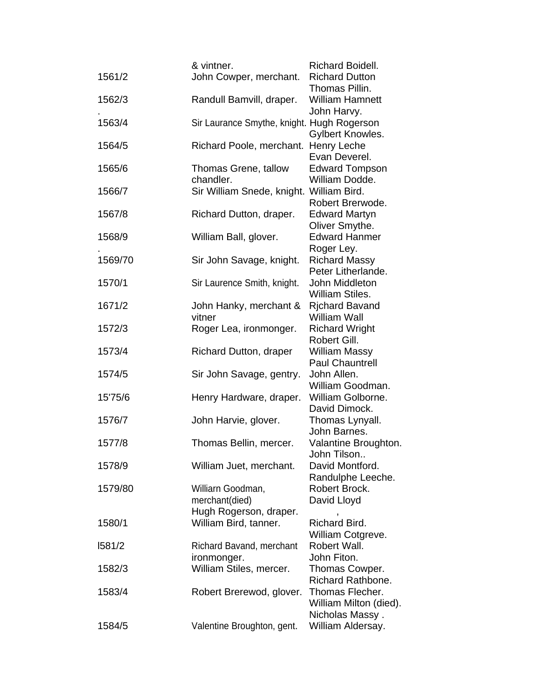|         | & vintner.                                 | Richard Boidell.                        |
|---------|--------------------------------------------|-----------------------------------------|
| 1561/2  | John Cowper, merchant.                     | <b>Richard Dutton</b>                   |
|         |                                            | Thomas Pillin.                          |
| 1562/3  | Randull Bamvill, draper.                   | <b>William Hamnett</b>                  |
|         |                                            | John Harvy.                             |
| 1563/4  | Sir Laurance Smythe, knight. Hugh Rogerson |                                         |
|         |                                            | Gylbert Knowles.                        |
| 1564/5  | Richard Poole, merchant. Henry Leche       |                                         |
|         |                                            | Evan Deverel.                           |
| 1565/6  | Thomas Grene, tallow<br>chandler.          | <b>Edward Tompson</b><br>William Dodde. |
| 1566/7  | Sir William Snede, knight. William Bird.   |                                         |
|         |                                            | Robert Brerwode.                        |
| 1567/8  | Richard Dutton, draper.                    | <b>Edward Martyn</b>                    |
|         |                                            | Oliver Smythe.                          |
| 1568/9  | William Ball, glover.                      | <b>Edward Hanmer</b>                    |
|         |                                            | Roger Ley.                              |
| 1569/70 | Sir John Savage, knight.                   | <b>Richard Massy</b>                    |
|         |                                            | Peter Litherlande.                      |
| 1570/1  | Sir Laurence Smith, knight.                | John Middleton                          |
|         |                                            | William Stiles.                         |
| 1671/2  | John Hanky, merchant &                     | <b>Richard Bavand</b>                   |
|         | vitner                                     | <b>William Wall</b>                     |
| 1572/3  | Roger Lea, ironmonger.                     | <b>Richard Wright</b>                   |
|         |                                            | Robert Gill.                            |
| 1573/4  | <b>Richard Dutton, draper</b>              | William Massy<br><b>Paul Chauntrell</b> |
| 1574/5  | Sir John Savage, gentry.                   | John Allen.                             |
|         |                                            | William Goodman.                        |
| 15'75/6 | Henry Hardware, draper.                    | William Golborne.                       |
|         |                                            | David Dimock.                           |
| 1576/7  | John Harvie, glover.                       | Thomas Lynyall.                         |
|         |                                            | John Barnes.                            |
| 1577/8  | Thomas Bellin, mercer.                     | Valantine Broughton.                    |
|         |                                            | John Tilson                             |
| 1578/9  | William Juet, merchant.                    | David Montford.                         |
|         |                                            | Randulphe Leeche.                       |
| 1579/80 | Williarn Goodman,                          | Robert Brock.                           |
|         | merchant(died)                             | David Lloyd                             |
|         | Hugh Rogerson, draper.                     | Richard Bird.                           |
| 1580/1  | William Bird, tanner.                      | William Cotgreve.                       |
| 1581/2  | Richard Bavand, merchant                   | Robert Wall.                            |
|         | ironmonger.                                | John Fiton.                             |
| 1582/3  | William Stiles, mercer.                    | Thomas Cowper.                          |
|         |                                            | Richard Rathbone.                       |
| 1583/4  | Robert Brerewod, glover.                   | Thomas Flecher.                         |
|         |                                            | William Milton (died).                  |
|         |                                            | Nicholas Massy.                         |
| 1584/5  | Valentine Broughton, gent.                 | William Aldersay.                       |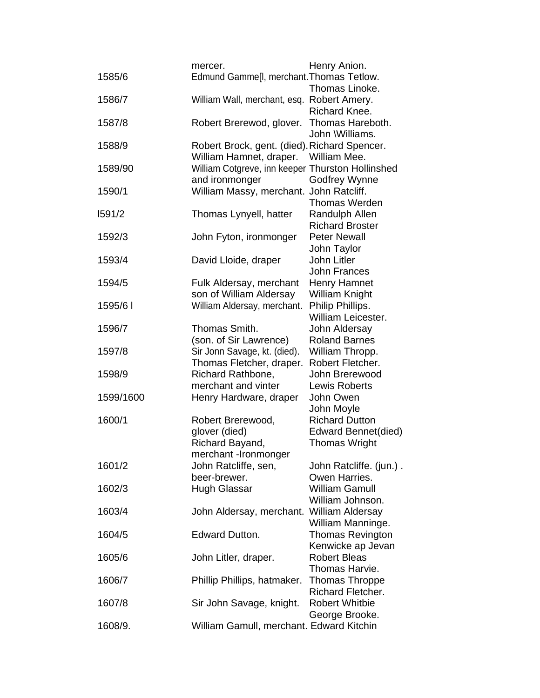|           | mercer.                                          | Henry Anion.                             |
|-----------|--------------------------------------------------|------------------------------------------|
| 1585/6    | Edmund Gamme[I, merchant. Thomas Tetlow.         |                                          |
|           |                                                  | Thomas Linoke.                           |
| 1586/7    | William Wall, merchant, esq. Robert Amery.       |                                          |
|           |                                                  | Richard Knee.                            |
| 1587/8    | Robert Brerewod, glover.                         | Thomas Hareboth.                         |
|           |                                                  | John \Williams.                          |
| 1588/9    | Robert Brock, gent. (died). Richard Spencer.     |                                          |
|           | William Hamnet, draper.                          | William Mee.                             |
| 1589/90   | William Cotgreve, inn keeper Thurston Hollinshed |                                          |
|           | and ironmonger                                   | <b>Godfrey Wynne</b>                     |
| 1590/1    | William Massy, merchant. John Ratcliff.          | <b>Thomas Werden</b>                     |
| 1591/2    | Thomas Lynyell, hatter                           | Randulph Allen                           |
|           |                                                  | <b>Richard Broster</b>                   |
| 1592/3    | John Fyton, ironmonger                           | <b>Peter Newall</b>                      |
|           |                                                  | John Taylor                              |
| 1593/4    | David Lloide, draper                             | John Litler                              |
|           |                                                  | John Frances                             |
| 1594/5    | Fulk Aldersay, merchant                          | Henry Hamnet                             |
|           | son of William Aldersay                          | William Knight                           |
| 1595/6    | William Aldersay, merchant.                      | Philip Phillips.                         |
|           |                                                  | William Leicester.                       |
| 1596/7    | Thomas Smith.                                    | John Aldersay                            |
|           | (son. of Sir Lawrence)                           | <b>Roland Barnes</b>                     |
| 1597/8    | Sir Jonn Savage, kt. (died).                     | William Thropp.                          |
|           | Thomas Fletcher, draper.                         | Robert Fletcher.                         |
| 1598/9    | Richard Rathbone,                                | John Brerewood                           |
|           | merchant and vinter                              | <b>Lewis Roberts</b>                     |
| 1599/1600 | Henry Hardware, draper                           | John Owen                                |
|           |                                                  | John Moyle                               |
| 1600/1    | Robert Brerewood,                                | <b>Richard Dutton</b>                    |
|           | glover (died)                                    | Edward Bennet(died)                      |
|           | Richard Bayand,                                  | <b>Thomas Wright</b>                     |
|           | merchant -Ironmonger                             |                                          |
| 1601/2    | John Ratcliffe, sen,<br>beer-brewer.             | John Ratcliffe. (jun.).<br>Owen Harries. |
| 1602/3    | <b>Hugh Glassar</b>                              | <b>William Gamull</b>                    |
|           |                                                  | William Johnson.                         |
| 1603/4    | John Aldersay, merchant. William Aldersay        |                                          |
|           |                                                  | William Manninge.                        |
| 1604/5    | Edward Dutton.                                   | <b>Thomas Revington</b>                  |
|           |                                                  | Kenwicke ap Jevan                        |
| 1605/6    | John Litler, draper.                             | <b>Robert Bleas</b>                      |
|           |                                                  | Thomas Harvie.                           |
| 1606/7    | Phillip Phillips, hatmaker.                      | Thomas Throppe                           |
|           |                                                  | Richard Fletcher.                        |
| 1607/8    | Sir John Savage, knight.                         | <b>Robert Whitbie</b>                    |
|           |                                                  | George Brooke.                           |
| 1608/9.   | William Gamull, merchant. Edward Kitchin         |                                          |